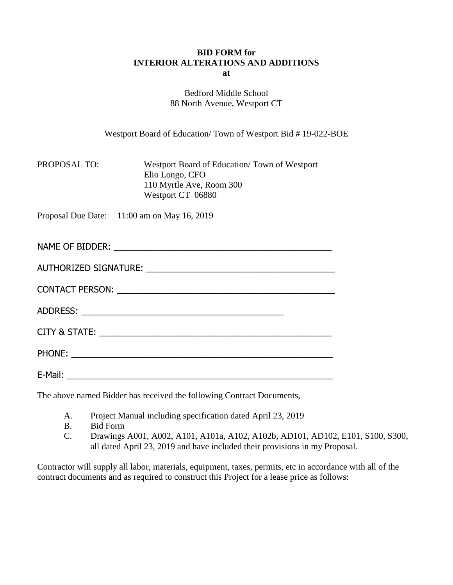## **BID FORM for INTERIOR ALTERATIONS AND ADDITIONS at**

Bedford Middle School 88 North Avenue, Westport CT

Westport Board of Education/ Town of Westport Bid # 19-022-BOE

| <b>PROPOSAL TO:</b> | Westport Board of Education/Town of Westport |
|---------------------|----------------------------------------------|
|                     | Elio Longo, CFO                              |
|                     | 110 Myrtle Ave, Room 300                     |
|                     | Westport CT 06880                            |

Proposal Due Date: 11:00 am on May 16, 2019

| NAME OF BIDDER:              |  |
|------------------------------|--|
|                              |  |
| <b>AUTHORIZED SIGNATURE:</b> |  |

| <b>CONTACT PERSON:</b> |  |  |
|------------------------|--|--|

ADDRESS: \_\_\_\_\_\_\_\_\_\_\_\_\_\_\_\_\_\_\_\_\_\_\_\_\_\_\_\_\_\_\_\_\_\_\_\_\_\_\_\_\_\_

CITY & STATE: \_\_\_\_\_\_\_\_\_\_\_\_\_\_\_\_\_\_\_\_\_\_\_\_\_\_\_\_\_\_\_\_\_\_\_\_\_\_\_\_\_\_\_\_\_\_\_\_

PHONE:

E-Mail: \_\_\_\_\_\_\_\_\_\_\_\_\_\_\_\_\_\_\_\_\_\_\_\_\_\_\_\_\_\_\_\_\_\_\_\_\_\_\_\_\_\_\_\_\_\_\_\_\_\_\_\_\_\_\_

The above named Bidder has received the following Contract Documents,

- A. Project Manual including specification dated April 23, 2019
- B. Bid Form
- C. Drawings A001, A002, A101, A101a, A102, A102b, AD101, AD102, E101, S100, S300, all dated April 23, 2019 and have included their provisions in my Proposal.

Contractor will supply all labor, materials, equipment, taxes, permits, etc in accordance with all of the contract documents and as required to construct this Project for a lease price as follows: